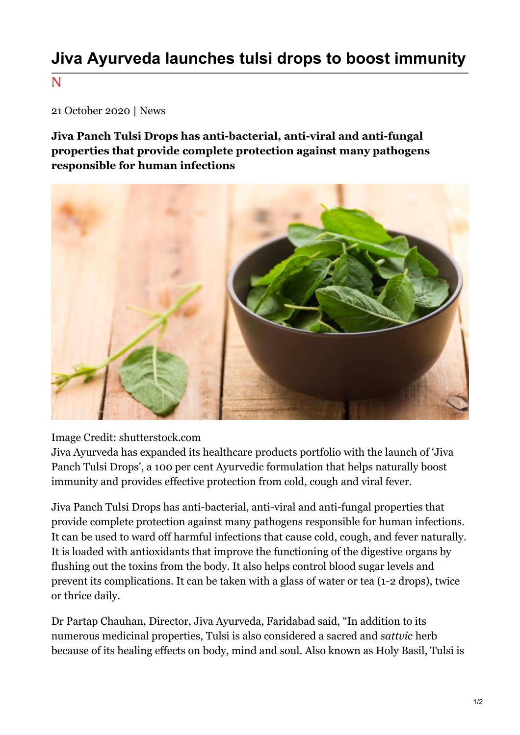## **Jiva Ayurveda launches tulsi drops to boost immunity**

N

21 October 2020 | News

**Jiva Panch Tulsi Drops has anti-bacterial, anti-viral and anti-fungal properties that provide complete protection against many pathogens responsible for human infections**



Image Credit: shutterstock.com

Jiva Ayurveda has expanded its healthcare products portfolio with the launch of 'Jiva Panch Tulsi Drops', a 100 per cent Ayurvedic formulation that helps naturally boost immunity and provides effective protection from cold, cough and viral fever.

Jiva Panch Tulsi Drops has anti-bacterial, anti-viral and anti-fungal properties that provide complete protection against many pathogens responsible for human infections. It can be used to ward off harmful infections that cause cold, cough, and fever naturally. It is loaded with antioxidants that improve the functioning of the digestive organs by flushing out the toxins from the body. It also helps control blood sugar levels and prevent its complications. It can be taken with a glass of water or tea (1-2 drops), twice or thrice daily.

Dr Partap Chauhan, Director, Jiva Ayurveda, Faridabad said, "In addition to its numerous medicinal properties, Tulsi is also considered a sacred and *sattvic* herb because of its healing effects on body, mind and soul. Also known as Holy Basil, Tulsi is